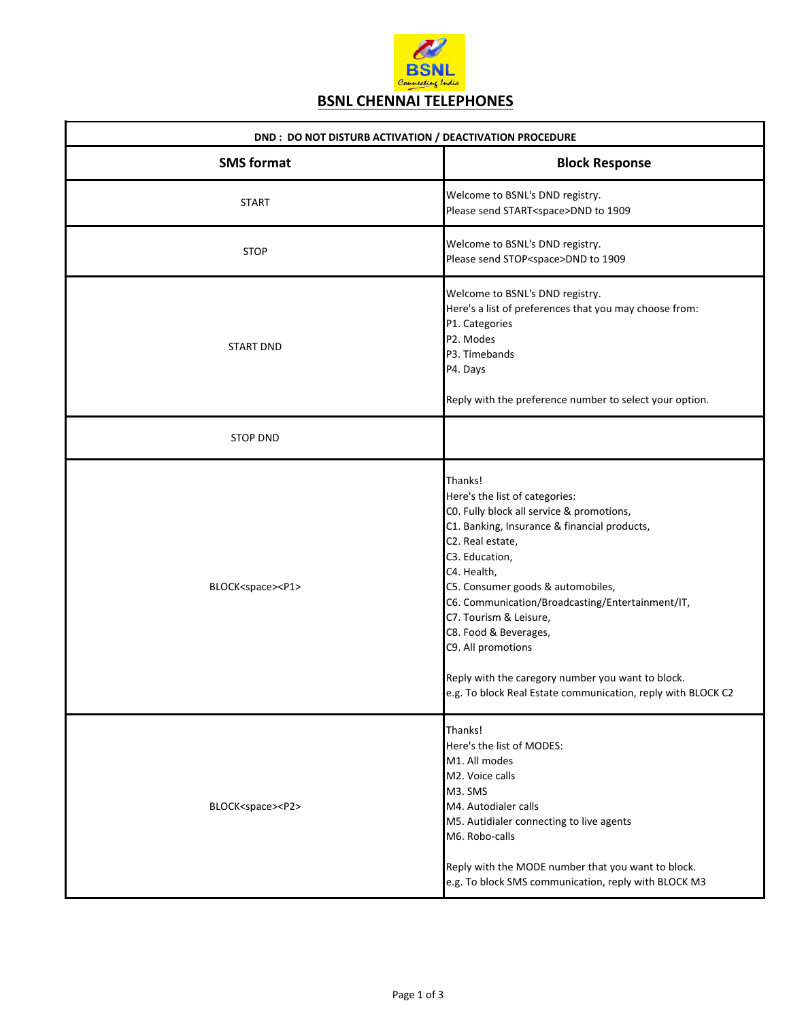

| DND: DO NOT DISTURB ACTIVATION / DEACTIVATION PROCEDURE |                                                                                                                                                                                                                                                                                                                                                                                                                                                                                    |  |
|---------------------------------------------------------|------------------------------------------------------------------------------------------------------------------------------------------------------------------------------------------------------------------------------------------------------------------------------------------------------------------------------------------------------------------------------------------------------------------------------------------------------------------------------------|--|
| <b>SMS format</b>                                       | <b>Block Response</b>                                                                                                                                                                                                                                                                                                                                                                                                                                                              |  |
| <b>START</b>                                            | Welcome to BSNL's DND registry.<br>Please send START <space>DND to 1909</space>                                                                                                                                                                                                                                                                                                                                                                                                    |  |
| <b>STOP</b>                                             | Welcome to BSNL's DND registry.<br>Please send STOP <space>DND to 1909</space>                                                                                                                                                                                                                                                                                                                                                                                                     |  |
| <b>START DND</b>                                        | Welcome to BSNL's DND registry.<br>Here's a list of preferences that you may choose from:<br>P1. Categories<br>P2. Modes<br>P3. Timebands<br>P4. Days<br>Reply with the preference number to select your option.                                                                                                                                                                                                                                                                   |  |
| <b>STOP DND</b>                                         |                                                                                                                                                                                                                                                                                                                                                                                                                                                                                    |  |
| BLOCK <space><p1></p1></space>                          | Thanks!<br>Here's the list of categories:<br>CO. Fully block all service & promotions,<br>C1. Banking, Insurance & financial products,<br>C2. Real estate,<br>C3. Education,<br>C4. Health,<br>C5. Consumer goods & automobiles,<br>C6. Communication/Broadcasting/Entertainment/IT,<br>C7. Tourism & Leisure,<br>C8. Food & Beverages,<br>C9. All promotions<br>Reply with the caregory number you want to block.<br>e.g. To block Real Estate communication, reply with BLOCK C2 |  |
| BLOCK <space><p2></p2></space>                          | Thanks!<br>Here's the list of MODES:<br>M1. All modes<br>M2. Voice calls<br>M3. SMS<br>M4. Autodialer calls<br>M5. Autidialer connecting to live agents<br>M6. Robo-calls<br>Reply with the MODE number that you want to block.<br>e.g. To block SMS communication, reply with BLOCK M3                                                                                                                                                                                            |  |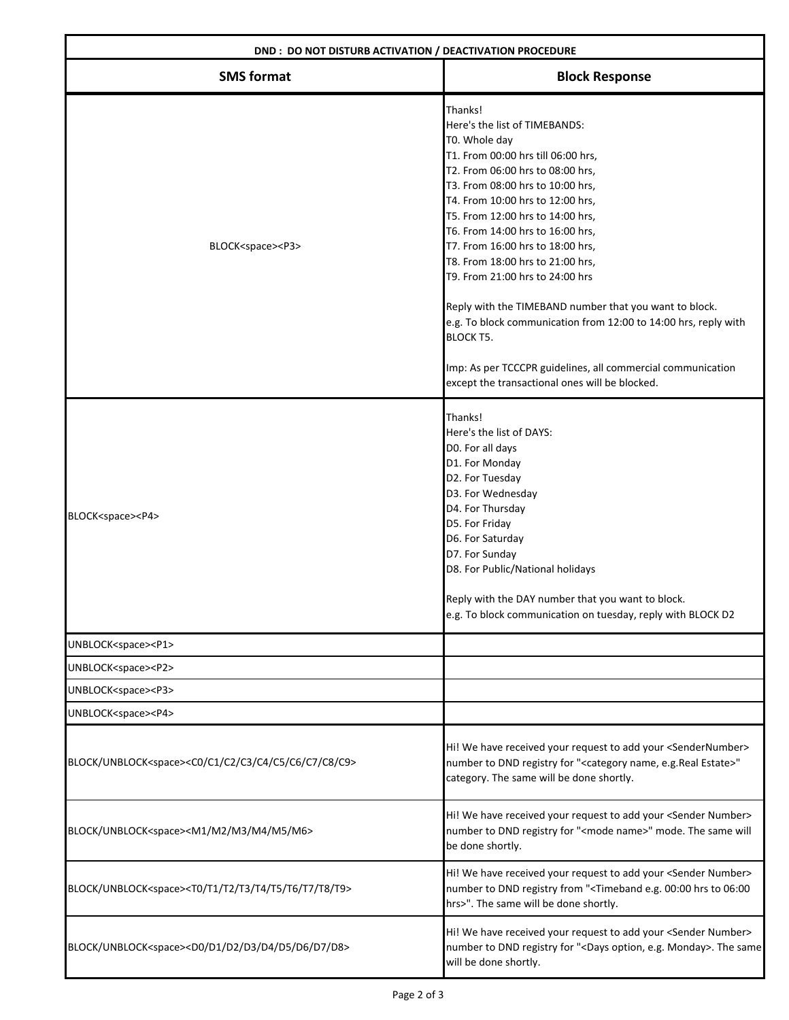| DND: DO NOT DISTURB ACTIVATION / DEACTIVATION PROCEDURE                                      |                                                                                                                                                                                                                                                                                                                                                                                                                                                                                                                                                                                                                                                                  |
|----------------------------------------------------------------------------------------------|------------------------------------------------------------------------------------------------------------------------------------------------------------------------------------------------------------------------------------------------------------------------------------------------------------------------------------------------------------------------------------------------------------------------------------------------------------------------------------------------------------------------------------------------------------------------------------------------------------------------------------------------------------------|
| <b>SMS format</b>                                                                            | <b>Block Response</b>                                                                                                                                                                                                                                                                                                                                                                                                                                                                                                                                                                                                                                            |
| BLOCK <space><p3></p3></space>                                                               | Thanks!<br>Here's the list of TIMEBANDS:<br>T0. Whole day<br>T1. From 00:00 hrs till 06:00 hrs,<br>T2. From 06:00 hrs to 08:00 hrs,<br>T3. From 08:00 hrs to 10:00 hrs,<br>T4. From 10:00 hrs to 12:00 hrs,<br>T5. From 12:00 hrs to 14:00 hrs,<br>T6. From 14:00 hrs to 16:00 hrs,<br>T7. From 16:00 hrs to 18:00 hrs,<br>T8. From 18:00 hrs to 21:00 hrs,<br>T9. From 21:00 hrs to 24:00 hrs<br>Reply with the TIMEBAND number that you want to block.<br>e.g. To block communication from 12:00 to 14:00 hrs, reply with<br><b>BLOCK T5.</b><br>Imp: As per TCCCPR guidelines, all commercial communication<br>except the transactional ones will be blocked. |
| BLOCK <space><p4></p4></space>                                                               | Thanks!<br>Here's the list of DAYS:<br>D0. For all days<br>D1. For Monday<br>D2. For Tuesday<br>D3. For Wednesday<br>D4. For Thursday<br>D5. For Friday<br>D6. For Saturday<br>D7. For Sunday<br>D8. For Public/National holidays<br>Reply with the DAY number that you want to block.<br>e.g. To block communication on tuesday, reply with BLOCK D2                                                                                                                                                                                                                                                                                                            |
| UNBLOCK <space><p1></p1></space>                                                             |                                                                                                                                                                                                                                                                                                                                                                                                                                                                                                                                                                                                                                                                  |
| UNBLOCK <space><p2></p2></space>                                                             |                                                                                                                                                                                                                                                                                                                                                                                                                                                                                                                                                                                                                                                                  |
| UNBLOCK <space><p3></p3></space>                                                             |                                                                                                                                                                                                                                                                                                                                                                                                                                                                                                                                                                                                                                                                  |
| UNBLOCK <space><p4></p4></space>                                                             |                                                                                                                                                                                                                                                                                                                                                                                                                                                                                                                                                                                                                                                                  |
| BLOCK/UNBLOCK <space><c0 c1="" c2="" c3="" c4="" c5="" c6="" c7="" c8="" c9=""></c0></space> | Hi! We have received your request to add your <sendernumber><br/>number to DND registry for "<category e.g.real="" estate="" name,="">"<br/>category. The same will be done shortly.</category></sendernumber>                                                                                                                                                                                                                                                                                                                                                                                                                                                   |
| BLOCK/UNBLOCK <space><m1 m2="" m3="" m4="" m5="" m6=""></m1></space>                         | Hi! We have received your request to add your <sender number=""><br/>number to DND registry for "<mode name="">" mode. The same will<br/>be done shortly.</mode></sender>                                                                                                                                                                                                                                                                                                                                                                                                                                                                                        |
| BLOCK/UNBLOCK <space><t0 t1="" t2="" t3="" t4="" t5="" t6="" t7="" t8="" t9=""></t0></space> | Hi! We have received your request to add your <sender number=""><br/>number to DND registry from "<timeband 00:00="" 06:00<br="" e.g.="" hrs="" to="">hrs&gt;". The same will be done shortly.</timeband></sender>                                                                                                                                                                                                                                                                                                                                                                                                                                               |
| BLOCK/UNBLOCK <space><d0 d1="" d2="" d3="" d4="" d5="" d6="" d7="" d8=""></d0></space>       | Hi! We have received your request to add your <sender number=""><br/>number to DND registry for "<days e.g.="" monday="" option,="">. The same<br/>will be done shortly.</days></sender>                                                                                                                                                                                                                                                                                                                                                                                                                                                                         |